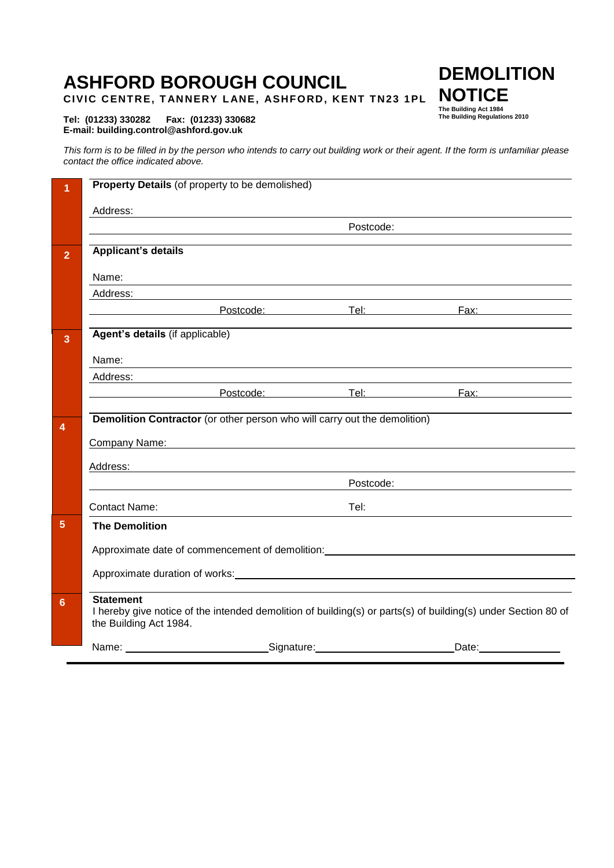# **ASHFORD BOROUGH COUNCIL**

**CIVIC CENTRE, TANNERY LANE, ASHFORD, KENT TN23 1PL** 

#### **Tel: (01233) 330282 Fax: (01233) 330682 E-mail: building.control@ashford.gov.uk**

*This form is to be filled in by the person who intends to carry out building work or their agent. If the form is unfamiliar please contact the office indicated above.* 

| 1              | Property Details (of property to be demolished)                                                                                   |                                                                                                                                                                                                                                |           |                                                                                                                             |
|----------------|-----------------------------------------------------------------------------------------------------------------------------------|--------------------------------------------------------------------------------------------------------------------------------------------------------------------------------------------------------------------------------|-----------|-----------------------------------------------------------------------------------------------------------------------------|
|                | Address:                                                                                                                          |                                                                                                                                                                                                                                |           |                                                                                                                             |
|                |                                                                                                                                   |                                                                                                                                                                                                                                | Postcode: |                                                                                                                             |
| $\overline{2}$ | <b>Applicant's details</b>                                                                                                        |                                                                                                                                                                                                                                |           |                                                                                                                             |
|                | Name:                                                                                                                             |                                                                                                                                                                                                                                |           | ,我们也不会有什么。""我们的人,我们也不会有什么?""我们的人,我们也不会有什么?""我们的人,我们的人,我们的人,我们的人,我们的人,我们的人,我们的人,我                                            |
|                | Address:                                                                                                                          |                                                                                                                                                                                                                                |           |                                                                                                                             |
|                |                                                                                                                                   |                                                                                                                                                                                                                                |           | <u> Exercífico de Postcode: Exercífico de Tel: Exercífico de Exercífico de Estados de Estados de Estados de Esta</u>        |
| $\overline{3}$ | Agent's details (if applicable)                                                                                                   |                                                                                                                                                                                                                                |           |                                                                                                                             |
|                | Name:                                                                                                                             | <u> 1989 - Johann Stoff, deutscher Stoff, der Stoff, deutscher Stoff, der Stoff, der Stoff, der Stoff, der Stoff, </u>                                                                                                         |           |                                                                                                                             |
|                | Address:                                                                                                                          | the contract of the contract of the contract of the contract of the contract of the contract of the contract of                                                                                                                |           |                                                                                                                             |
|                |                                                                                                                                   |                                                                                                                                                                                                                                |           | <u> Exercífica de Postcode: Elizabeth Tel:</u> Exercífica de Postcode: Elizabeth Tel: Exercífica de Postcode: Elizabeth Tel |
|                |                                                                                                                                   | Demolition Contractor (or other person who will carry out the demolition)                                                                                                                                                      |           |                                                                                                                             |
| $\overline{4}$ |                                                                                                                                   |                                                                                                                                                                                                                                |           |                                                                                                                             |
|                | Company Name:                                                                                                                     | <u> 1989 - Johann Stoff, deutscher Stoffen und der Stoffen und der Stoffen und der Stoffen und der Stoffen und der</u>                                                                                                         |           |                                                                                                                             |
|                | Address:                                                                                                                          |                                                                                                                                                                                                                                |           |                                                                                                                             |
|                |                                                                                                                                   |                                                                                                                                                                                                                                | Postcode: |                                                                                                                             |
|                | <b>Contact Name:</b>                                                                                                              |                                                                                                                                                                                                                                | Tel:      |                                                                                                                             |
| 5              | <b>The Demolition</b>                                                                                                             |                                                                                                                                                                                                                                |           |                                                                                                                             |
|                | Approximate date of commencement of demolition: example and an approximate date of commencement of demolition:                    |                                                                                                                                                                                                                                |           |                                                                                                                             |
|                |                                                                                                                                   |                                                                                                                                                                                                                                |           |                                                                                                                             |
|                |                                                                                                                                   | Approximate duration of works: Note and the set of the set of the set of the set of the set of the set of the set of the set of the set of the set of the set of the set of the set of the set of the set of the set of the se |           |                                                                                                                             |
| 6              | <b>Statement</b><br>I hereby give notice of the intended demolition of building(s) or parts(s) of building(s) under Section 80 of |                                                                                                                                                                                                                                |           |                                                                                                                             |
|                | the Building Act 1984.                                                                                                            |                                                                                                                                                                                                                                |           |                                                                                                                             |
|                | Name:                                                                                                                             | Signature:                                                                                                                                                                                                                     |           | Date:                                                                                                                       |

**DEMOLITION NOTICE**

**The Building Act 1984 The Building Regulations 2010**